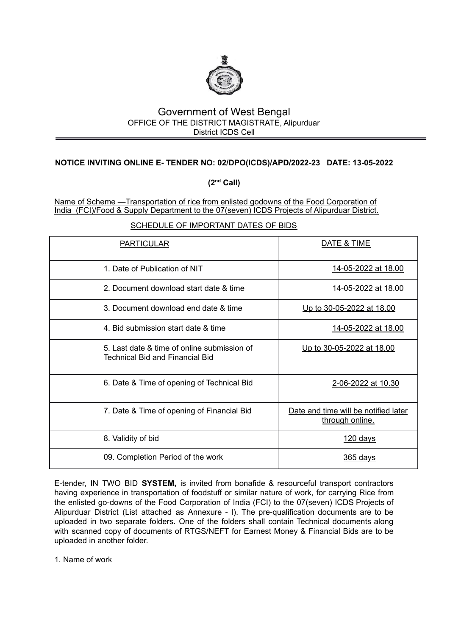

# Government of West Bengal OFFICE OF THE DISTRICT MAGISTRATE, Alipurduar District ICDS Cell

## **NOTICE INVITING ONLINE E- TENDER NO: 02/DPO(ICDS)/APD/2022-23 DATE: 13-05-2022**

**(2nd Call)**

Name of Scheme —Transportation of rice from enlisted godowns of the Food Corporation of India (FCI)/Food & Supply Department to the 07(seven) ICDS Projects of Alipurduar District.

SCHEDULE OF IMPORTANT DATES OF BIDS

| <b>PARTICULAR</b>                                                                     | DATE & TIME                                             |
|---------------------------------------------------------------------------------------|---------------------------------------------------------|
| 1. Date of Publication of NIT                                                         | 14-05-2022 at 18.00                                     |
| 2. Document download start date & time                                                | 14-05-2022 at 18.00                                     |
| 3. Document download end date & time                                                  | Up to 30-05-2022 at 18.00                               |
| 4. Bid submission start date & time                                                   | 14-05-2022 at 18.00                                     |
| 5. Last date & time of online submission of<br><b>Technical Bid and Financial Bid</b> | Up to 30-05-2022 at 18.00                               |
| 6. Date & Time of opening of Technical Bid                                            | 2-06-2022 at 10.30                                      |
| 7. Date & Time of opening of Financial Bid                                            | Date and time will be notified later<br>through online. |
| 8. Validity of bid                                                                    | 120 days                                                |
| 09. Completion Period of the work                                                     | 365 days                                                |

E-tender, IN TWO BID **SYSTEM,** is invited from bonafide & resourceful transport contractors having experience in transportation of foodstuff or similar nature of work, for carrying Rice from the enlisted go-downs of the Food Corporation of India (FCI) to the 07(seven) ICDS Projects of Alipurduar District (List attached as Annexure - I). The pre-qualification documents are to be uploaded in two separate folders. One of the folders shall contain Technical documents along with scanned copy of documents of RTGS/NEFT for Earnest Money & Financial Bids are to be uploaded in another folder.

1. Name of work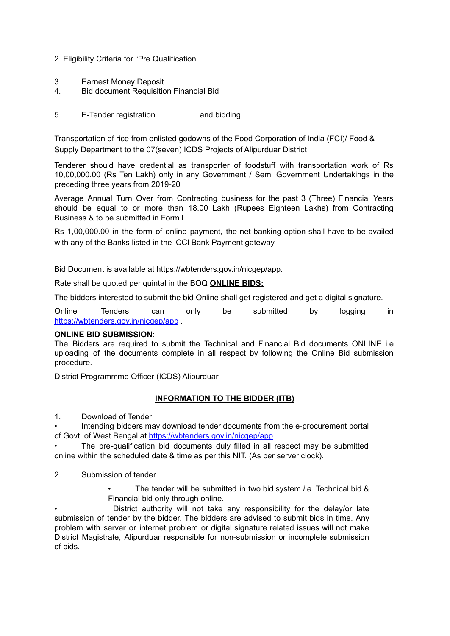- 2. Eligibility Criteria for "Pre Qualification
- 3. Earnest Money Deposit
- 4. Bid document Requisition Financial Bid
- 5. E-Tender registration and bidding

Transportation of rice from enlisted godowns of the Food Corporation of India (FCI)/ Food & Supply Department to the 07(seven) ICDS Projects of Alipurduar District

Tenderer should have credential as transporter of foodstuff with transportation work of Rs 10,00,000.00 (Rs Ten Lakh) only in any Government / Semi Government Undertakings in the preceding three years from 2019-20

Average Annual Turn Over from Contracting business for the past 3 (Three) Financial Years should be equal to or more than 18.00 Lakh (Rupees Eighteen Lakhs) from Contracting Business & to be submitted in Form l.

Rs 1,00,000.00 in the form of online payment, the net banking option shall have to be availed with any of the Banks listed in the lCCl Bank Payment gateway

Bid Document is available at https://wbtenders.gov.in/nicgep/app.

Rate shall be quoted per quintal in the BOQ **ONLINE BIDS:**

The bidders interested to submit the bid Online shall get registered and get a digital signature.

Online Tenders can only be submitted by logging in <https://wbtenders.gov.in/nicgep/app> .

#### **ONLINE BID SUBMISSION**:

The Bidders are required to submit the Technical and Financial Bid documents ONLINE i.e uploading of the documents complete in all respect by following the Online Bid submission procedure.

District Programmme Officer (ICDS) Alipurduar

#### **INFORMATION TO THE BIDDER (ITB)**

1. Download of Tender

• Intending bidders may download tender documents from the e-procurement portal of Govt. of West Bengal at <https://wbtenders.gov.in/nicgep/app>

• The pre-qualification bid documents duly filled in all respect may be submitted online within the scheduled date & time as per this NIT. (As per server clock).

- 2. Submission of tender
	- The tender will be submitted in two bid system *i.e.* Technical bid & Financial bid only through online.

• District authority will not take any responsibility for the delay/or late submission of tender by the bidder. The bidders are advised to submit bids in time. Any problem with server or internet problem or digital signature related issues will not make District Magistrate, Alipurduar responsible for non-submission or incomplete submission of bids.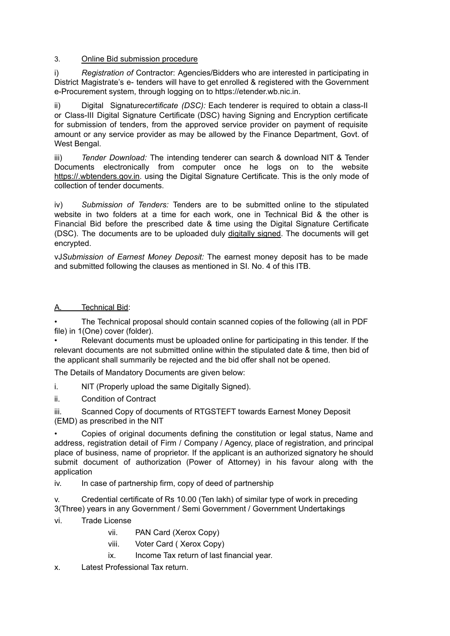## 3. Online Bid submission procedure

i) *Registration of* Contractor: Agencies/Bidders who are interested in participating in District Magistrate's e- tenders will have to get enrolled & registered with the Government e-Procurement system, through logging on to https://etender.wb.nic.in.

ii) Digital Signature*certificate (DSC):* Each tenderer is required to obtain a class-II or Class-III Digital Signature Certificate (DSC) having Signing and Encryption certificate for submission of tenders, from the approved service provider on payment of requisite amount or any service provider as may be allowed by the Finance Department, Govt. of West Bengal.

iii) *Tender Download:* The intending tenderer can search & download NIT & Tender Documents electronically from computer once he logs on to the website https://.wbtenders.gov.in. using the Digital Signature Certificate. This is the only mode of collection of tender documents.

iv) *Submission of Tenders:* Tenders are to be submitted online to the stipulated website in two folders at a time for each work, one in Technical Bid & the other is Financial Bid before the prescribed date & time using the Digital Signature Certificate (DSC). The documents are to be uploaded duly digitally signed. The documents will get encrypted.

vJ*Submission of Earnest Money Deposit:* The earnest money deposit has to be made and submitted following the clauses as mentioned in SI. No. 4 of this ITB.

## A. Technical Bid:

• The Technical proposal should contain scanned copies of the following (all in PDF file) in 1(One) cover (folder).

• Relevant documents must be uploaded online for participating in this tender. If the relevant documents are not submitted online within the stipulated date & time, then bid of the applicant shall summarily be rejected and the bid offer shall not be opened.

The Details of Mandatory Documents are given below:

i. NIT (Properly upload the same Digitally Signed).

ii. Condition of Contract

iii. Scanned Copy of documents of RTGSTEFT towards Earnest Money Deposit

(EMD) as prescribed in the NIT

• Copies of original documents defining the constitution or legal status, Name and address, registration detail of Firm / Company / Agency, place of registration, and principal place of business, name of proprietor. If the applicant is an authorized signatory he should submit document of authorization (Power of Attorney) in his favour along with the application

iv. In case of partnership firm, copy of deed of partnership

v. Credential certificate of Rs 10.00 (Ten lakh) of similar type of work in preceding 3(Three) years in any Government / Semi Government / Government Undertakings

vi. Trade License

- vii. PAN Card (Xerox Copy)
- viii. Voter Card ( Xerox Copy)
- ix. Income Tax return of last financial year.

x. Latest Professional Tax return.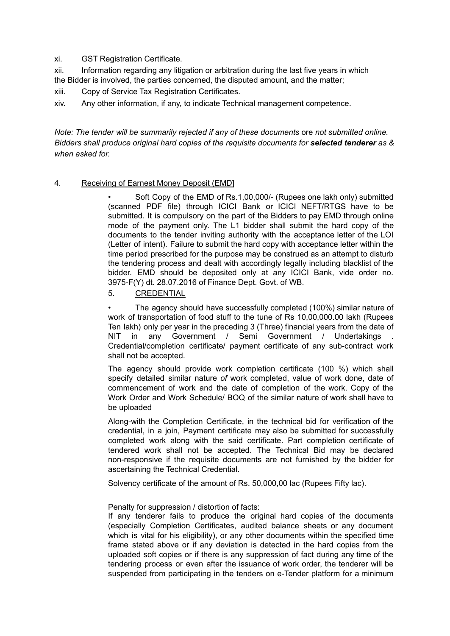xi. GST Registration Certificate.

xii. Information regarding any litigation or arbitration during the last five years in which the Bidder is involved, the parties concerned, the disputed amount, and the matter;

xiii. Copy of Service Tax Registration Certificates.

xiv. Any other information, if any, to indicate Technical management competence.

*Note: The tender will be summarily rejected if any of these documents* ore *not submitted online. Bidders shall produce original hard copies of the requisite documents for selected tenderer as & when asked for.*

### 4. Receiving of Earnest Money Deposit (EMD]

• Soft Copy of the EMD of Rs.1,00,000/- (Rupees one lakh only) submitted (scanned PDF file) through ICICI Bank or ICICI NEFT/RTGS have to be submitted. It is compulsory on the part of the Bidders to pay EMD through online mode of the payment only. The L1 bidder shall submit the hard copy of the documents to the tender inviting authority with the acceptance letter of the LOI (Letter of intent). Failure to submit the hard copy with acceptance letter within the time period prescribed for the purpose may be construed as an attempt to disturb the tendering process and dealt with accordingly legally including blacklist of the bidder. EMD should be deposited only at any ICICI Bank, vide order no. 3975-F(Y) dt. 28.07.2016 of Finance Dept. Govt. of WB.

### 5. CREDENTIAL

• The agency should have successfully completed (100%) similar nature of work of transportation of food stuff to the tune of Rs 10,00,000.00 lakh (Rupees Ten lakh) only per year in the preceding 3 (Three) financial years from the date of NIT in any Government / Semi Government / Undertakings Credential/completion certificate/ payment certificate of any sub-contract work shall not be accepted.

The agency should provide work completion certificate (100 %) which shall specify detailed similar nature *of* work completed, value of work done, date of commencement of work and the date of completion of the work. Copy of the Work Order and Work Schedule/ BOQ of the similar nature of work shall have to be uploaded

Along-with the Completion Certificate, in the technical bid for verification of the credential, in a join, Payment certificate may also be submitted for successfully completed work along with the said certificate. Part completion certificate of tendered work shall not be accepted. The Technical Bid may be declared non-responsive if the requisite documents are not furnished by the bidder for ascertaining the Technical Credential.

Solvency certificate of the amount of Rs. 50,000,00 lac (Rupees Fifty lac).

Penalty for suppression / distortion of facts:

If any tenderer fails to produce the original hard copies of the documents (especially Completion Certificates, audited balance sheets or any document which is vital for his eligibility), or any other documents within the specified time frame stated above or if any deviation is detected in the hard copies from the uploaded soft copies or if there is any suppression of fact during any time of the tendering process or even after the issuance of work order, the tenderer will be suspended from participating in the tenders on e-Tender platform for a minimum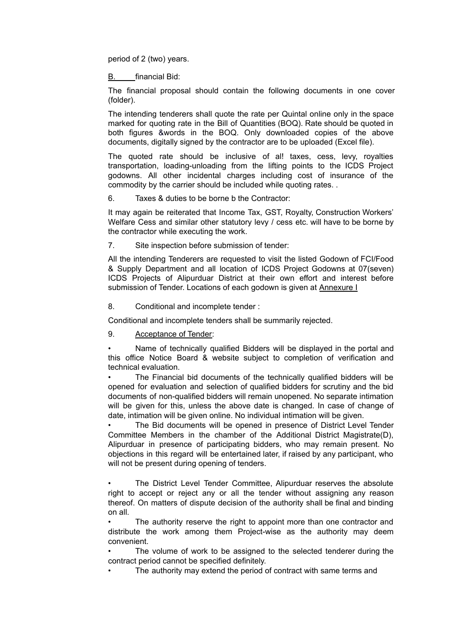period of 2 (two) years.

B. financial Bid:

The financial proposal should contain the following documents in one cover (folder).

The intending tenderers shall quote the rate per Quintal online only in the space marked for quoting rate in the Bill of Quantities (BOQ). Rate should be quoted in both figures &words in the BOQ. Only downloaded copies of the above documents, digitally signed by the contractor are to be uploaded (Excel file).

The quoted rate should be inclusive of al! taxes, cess, levy, royalties transportation, loading-unloading from the lifting points to the ICDS Project godowns. All other incidental charges including cost of insurance of the commodity by the carrier should be included while quoting rates. .

6. Taxes & duties to be borne b the Contractor:

It may again be reiterated that Income Tax, GST, Royalty, Construction Workers' Welfare Cess and similar other statutory levy / cess etc. will have to be borne by the contractor while executing the work.

7. Site inspection before submission of tender:

All the intending Tenderers are requested to visit the listed Godown of FCI/Food & Supply Department and all location of ICDS Project Godowns at 07(seven) ICDS Projects of Alipurduar District at their own effort and interest before submission of Tender. Locations of each godown is given at Annexure I

8. Conditional and incomplete tender :

Conditional and incomplete tenders shall be summarily rejected.

9. Acceptance of Tender:

Name of technically qualified Bidders will be displayed in the portal and this office Notice Board & website subject to completion of verification and technical evaluation.

The Financial bid documents of the technically qualified bidders will be opened for evaluation and selection of qualified bidders for scrutiny and the bid documents of non-qualified bidders will remain unopened. No separate intimation will be given for this, unless the above date is changed. In case of change of date, intimation will be given online. No individual intimation will be given.

The Bid documents will be opened in presence of District Level Tender Committee Members in the chamber of the Additional District Magistrate(D), Alipurduar in presence of participating bidders, who may remain present. No objections in this regard will be entertained later, if raised by any participant, who will not be present during opening of tenders.

The District Level Tender Committee, Alipurduar reserves the absolute right to accept or reject any or all the tender without assigning any reason thereof. On matters of dispute decision of the authority shall be final and binding on all.

The authority reserve the right to appoint more than one contractor and distribute the work among them Project-wise as the authority may deem convenient.

The volume of work to be assigned to the selected tenderer during the contract period cannot be specified definitely.

The authority may extend the period of contract with same terms and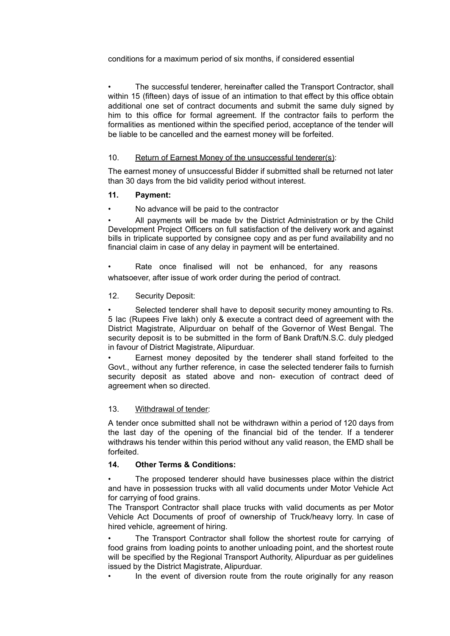conditions for a maximum period of six months, if considered essential

• The successful tenderer, hereinafter called the Transport Contractor, shall within 15 (fifteen) days of issue of an intimation to that effect by this office obtain additional one set of contract documents and submit the same duly signed by him to this office for formal agreement. If the contractor fails to perform the formalities as mentioned within the specified period, acceptance of the tender will be liable to be cancelled and the earnest money will be forfeited.

### 10. Return of Earnest Money of the unsuccessful tenderer(s):

The earnest money of unsuccessful Bidder if submitted shall be returned not later than 30 days from the bid validity period without interest.

### **11. Payment:**

• No advance will be paid to the contractor

• All payments will be made bv the District Administration or by the Child Development Project Officers on full satisfaction of the delivery work and against bills in triplicate supported by consignee copy and as per fund availability and no financial claim in case of any delay in payment will be entertained.

Rate once finalised will not be enhanced, for any reasons whatsoever, after issue of work order during the period of contract.

### 12. Security Deposit:

Selected tenderer shall have to deposit security money amounting to Rs. 5 lac (Rupees Five lakh) only & execute a contract deed of agreement with the District Magistrate, Alipurduar on behalf of the Governor of West Bengal. The security deposit is to be submitted in the form of Bank Draft/N.S.C. duly pledged in favour of District Magistrate, Alipurduar.

Earnest money deposited by the tenderer shall stand forfeited to the Govt., without any further reference, in case the selected tenderer fails to furnish security deposit as stated above and non- execution of contract deed of agreement when so directed.

#### 13. Withdrawal of tender:

A tender once submitted shall not be withdrawn within a period of 120 days from the last day of the opening of the financial bid of the tender. If a tenderer withdraws his tender within this period without any valid reason, the EMD shall be forfeited.

## **14. Other Terms & Conditions:**

The proposed tenderer should have businesses place within the district and have in possession trucks with all valid documents under Motor Vehicle Act for carrying of food grains.

The Transport Contractor shall place trucks with valid documents as per Motor Vehicle Act Documents of proof of ownership of Truck/heavy lorry. In case of hired vehicle, agreement of hiring.

The Transport Contractor shall follow the shortest route for carrying of food grains from loading points to another unloading point, and the shortest route will be specified by the Regional Transport Authority, Alipurduar as per guidelines issued by the District Magistrate, Alipurduar.

In the event of diversion route from the route originally for any reason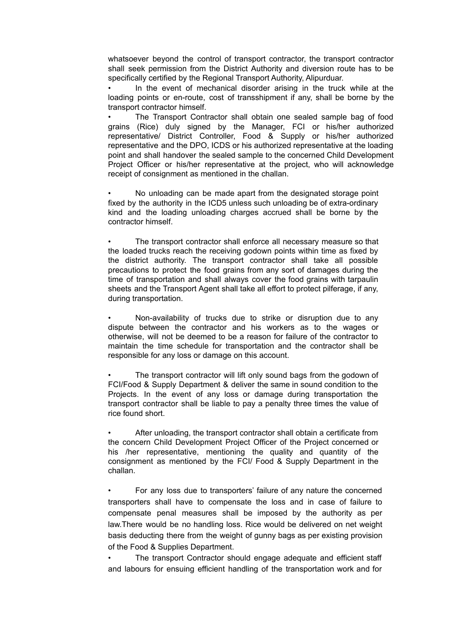whatsoever beyond the control of transport contractor, the transport contractor shall seek permission from the District Authority and diversion route has to be specifically certified by the Regional Transport Authority, Alipurduar.

• In the event of mechanical disorder arising in the truck while at the loading points or en-route, cost of transshipment if any, shall be borne by the transport contractor himself.

The Transport Contractor shall obtain one sealed sample bag of food grains (Rice) duly signed by the Manager, FCI or his/her authorized representative/ District Controller, Food & Supply or his/her authorized representative and the DPO, ICDS or his authorized representative at the loading point and shall handover the sealed sample to the concerned Child Development Project Officer or his/her representative at the project, who will acknowledge receipt of consignment as mentioned in the challan.

• No unloading can be made apart from the designated storage point fixed by the authority in the ICD5 unless such unloading be of extra-ordinary kind and the loading unloading charges accrued shall be borne by the contractor himself.

• The transport contractor shall enforce all necessary measure so that the loaded trucks reach the receiving godown points within time as fixed by the district authority. The transport contractor shall take all possible precautions to protect the food grains from any sort of damages during the time of transportation and shall always cover the food grains with tarpaulin sheets and the Transport Agent shall take all effort to protect pilferage, if any, during transportation.

• Non-availability of trucks due to strike or disruption due to any dispute between the contractor and his workers as to the wages or otherwise, will not be deemed to be a reason for failure of the contractor to maintain the time schedule for transportation and the contractor shall be responsible for any loss or damage on this account.

The transport contractor will lift only sound bags from the godown of FCI/Food & Supply Department & deliver the same in sound condition to the Projects. In the event of any loss or damage during transportation the transport contractor shall be liable to pay a penalty three times the value of rice found short.

After unloading, the transport contractor shall obtain a certificate from the concern Child Development Project Officer of the Project concerned or his /her representative, mentioning the quality and quantity of the consignment as mentioned by the FCI/ Food & Supply Department in the challan.

• For any loss due to transporters' failure of any nature the concerned transporters shall have to compensate the loss and in case of failure to compensate penal measures shall be imposed by the authority as per law.There would be no handling loss. Rice would be delivered on net weight basis deducting there from the weight of gunny bags as per existing provision of the Food & Supplies Department.

The transport Contractor should engage adequate and efficient staff and labours for ensuing efficient handling of the transportation work and for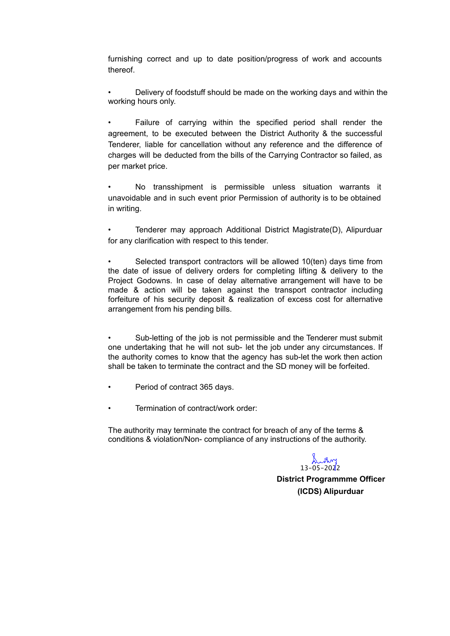furnishing correct and up to date position/progress of work and accounts thereof.

• Delivery of foodstuff should be made on the working days and within the working hours only.

Failure of carrying within the specified period shall render the agreement, to be executed between the District Authority & the successful Tenderer, liable for cancellation without any reference and the difference of charges will be deducted from the bills of the Carrying Contractor so failed, as per market price.

No transshipment is permissible unless situation warrants it unavoidable and in such event prior Permission of authority is to be obtained in writing.

• Tenderer may approach Additional District Magistrate(D), Alipurduar for any clarification with respect to this tender.

Selected transport contractors will be allowed 10(ten) days time from the date of issue of delivery orders for completing lifting & delivery to the Project Godowns. In case of delay alternative arrangement will have to be made & action will be taken against the transport contractor including forfeiture of his security deposit & realization of excess cost for alternative arrangement from his pending bills.

Sub-letting of the job is not permissible and the Tenderer must submit one undertaking that he will not sub- let the job under any circumstances. If the authority comes to know that the agency has sub-let the work then action shall be taken to terminate the contract and the SD money will be forfeited.

- Period of contract 365 days.
- Termination of contract/work order:

The authority may terminate the contract for breach of any of the terms & conditions & violation/Non- compliance of any instructions of the authority.

 $13 - 05 - 2022$ 

**District Programmme Officer (ICDS) Alipurduar**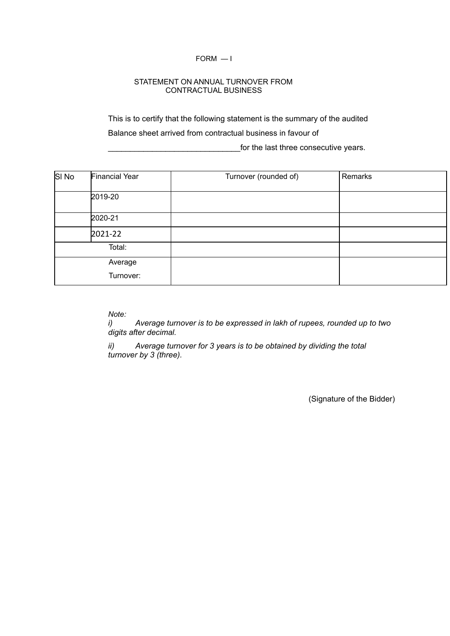#### FORM — I

#### STATEMENT ON ANNUAL TURNOVER FROM CONTRACTUAL BUSINESS

This is to certify that the following statement is the summary of the audited Balance sheet arrived from contractual business in favour of

for the last three consecutive years.

| SI <sub>No</sub> | <b>Financial Year</b> | Turnover (rounded of) | Remarks |
|------------------|-----------------------|-----------------------|---------|
|                  | 2019-20               |                       |         |
|                  | 2020-21               |                       |         |
|                  | 2021-22               |                       |         |
|                  | Total:                |                       |         |
|                  | Average<br>Turnover:  |                       |         |

*Note:*

*i) Average turnover is to be expressed in lakh of rupees, rounded up to two digits after decimal.*

*ii) Average turnover for 3 years is to be obtained by dividing the total turnover by 3 (three).*

(Signature of the Bidder)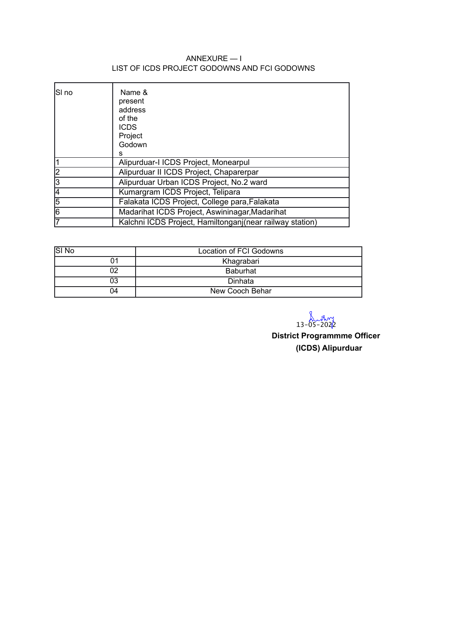## ANNEXURE — I LIST OF ICDS PROJECT GODOWNS AND FCI GODOWNS

| SI no | Name &<br>present<br>address<br>of the<br><b>ICDS</b><br>Project<br>Godown<br>s |
|-------|---------------------------------------------------------------------------------|
| 11    | Alipurduar-I ICDS Project, Monearpul                                            |
| 2     | Alipurduar II ICDS Project, Chaparerpar                                         |
| 3     | Alipurduar Urban ICDS Project, No.2 ward                                        |
| 14    | Kumargram ICDS Project, Telipara                                                |
| 5     | Falakata ICDS Project, College para, Falakata                                   |
| 6     | Madarihat ICDS Project, Aswininagar, Madarihat                                  |
| 17    | Kalchni ICDS Project, Hamiltonganj (near railway station)                       |

| SI <sub>No</sub> | Location of FCI Godowns |
|------------------|-------------------------|
|                  | Khagrabari              |
|                  | <b>Baburhat</b>         |
| 03               | Dinhata                 |
| 04               | New Cooch Behar         |

 $13-05-2022$ 

**District Programmme Officer (ICDS) Alipurduar**